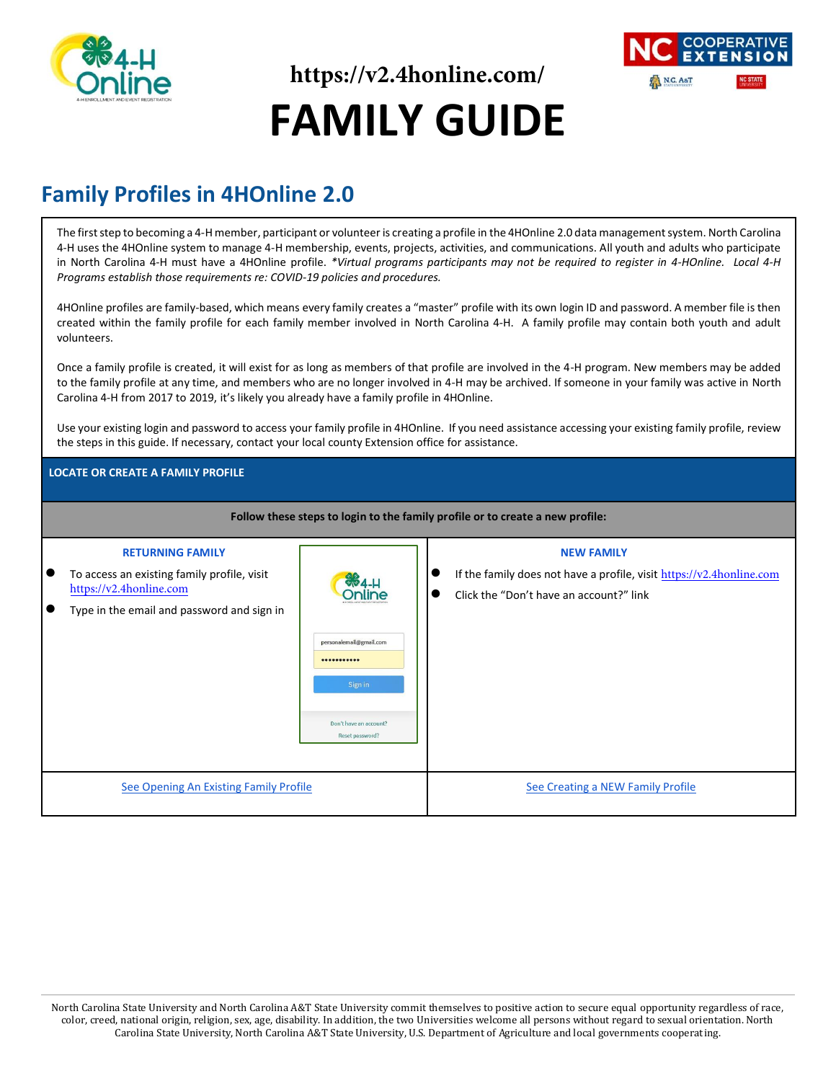

**https://v2.4honline.com/ FAMILY GUIDE**



## **Family Profiles in 4HOnline 2.0**

The first step to becoming a 4-H member, participant or volunteer is creating a profile in the 4HOnline 2.0 data management system. North Carolina 4-H uses the 4HOnline system to manage 4-H membership, events, projects, activities, and communications. All youth and adults who participate in North Carolina 4-H must have a 4HOnline profile. *\*Virtual programs participants may not be required to register in 4-HOnline. Local 4-H Programs establish those requirements re: COVID-19 policies and procedures.*

4HOnline profiles are family-based, which means every family creates a "master" profile with its own login ID and password. A member file is then created within the family profile for each family member involved in North Carolina 4-H. A family profile may contain both youth and adult volunteers.

Once a family profile is created, it will exist for as long as members of that profile are involved in the 4-H program. New members may be added to the family profile at any time, and members who are no longer involved in 4-H may be archived. If someone in your family was active in North Carolina 4-H from 2017 to 2019, it's likely you already have a family profile in 4HOnline.

Use your existing login and password to access your family profile in 4HOnline. If you need assistance accessing your existing family profile, review the steps in this guide. If necessary, contact your local county Extension office for assistance.

#### **LOCATE OR CREATE A FAMILY PROFILE**

| Follow these steps to login to the family profile or to create a new profile:                                                                                      |                                                                                                     |                                                                                                                                                       |  |  |  |  |
|--------------------------------------------------------------------------------------------------------------------------------------------------------------------|-----------------------------------------------------------------------------------------------------|-------------------------------------------------------------------------------------------------------------------------------------------------------|--|--|--|--|
| <b>RETURNING FAMILY</b><br>To access an existing family profile, visit<br>I O<br>https://v2.4honline.com<br>Type in the email and password and sign in<br><b>.</b> | <b>SB4-H</b><br>personalemail@gmail.com<br><br>Sign in<br>Don't have an account?<br>Reset password? | <b>NEW FAMILY</b><br>If the family does not have a profile, visit $\frac{https://v2.4\text{honline.com}}{$<br>Click the "Don't have an account?" link |  |  |  |  |
| See Opening An Existing Family Profile                                                                                                                             |                                                                                                     | See Creating a NEW Family Profile                                                                                                                     |  |  |  |  |

<span id="page-0-0"></span>North Carolina State University and North Carolina A&T State University commit themselves to positive action to secure equal opportunity regardless of race, color, creed, national origin, religion, sex, age, disability. In addition, the two Universities welcome all persons without regard to sexual orientation. North Carolina State University, North Carolina A&T State University, U.S. Department of Agriculture and local governments cooperating.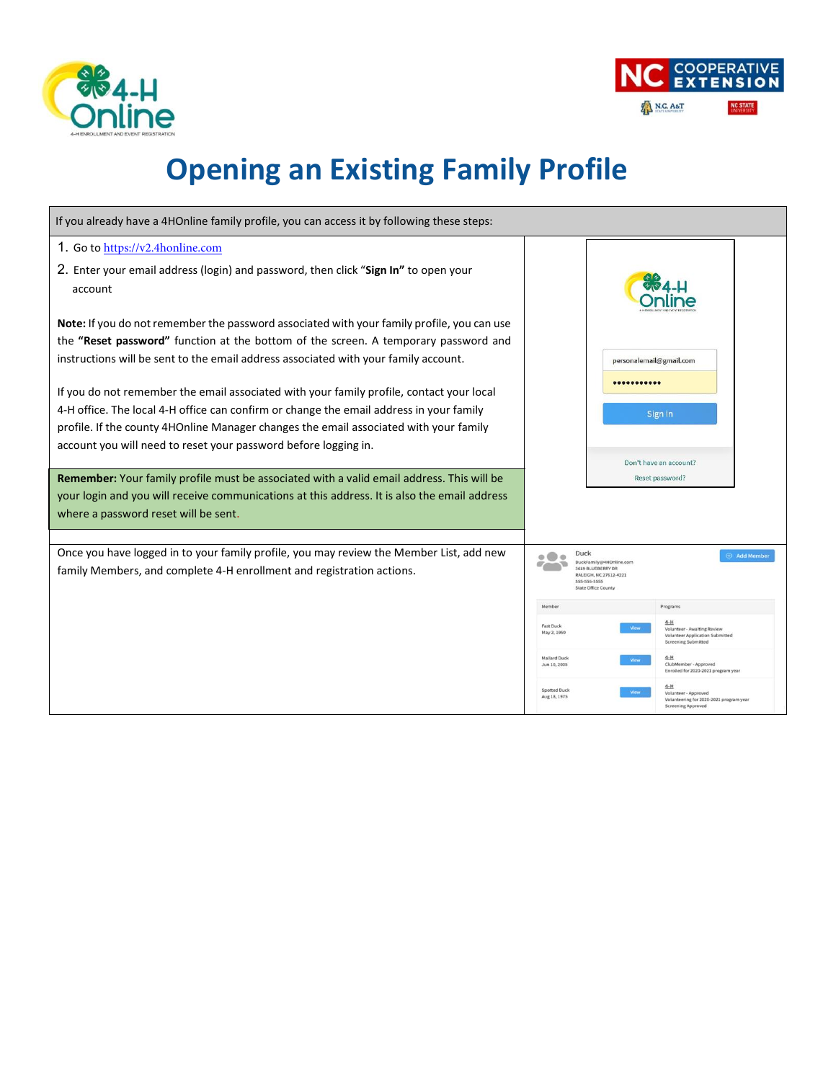



# **Opening an Existing Family Profile**

| If you already have a 4HOnline family profile, you can access it by following these steps:                                                                                        |                                     |                                                                                                                                     |                                                                                                              |  |
|-----------------------------------------------------------------------------------------------------------------------------------------------------------------------------------|-------------------------------------|-------------------------------------------------------------------------------------------------------------------------------------|--------------------------------------------------------------------------------------------------------------|--|
| 1. Go to https://v2.4honline.com                                                                                                                                                  |                                     |                                                                                                                                     |                                                                                                              |  |
| 2. Enter your email address (login) and password, then click "Sign In" to open your<br>account                                                                                    |                                     |                                                                                                                                     |                                                                                                              |  |
| Note: If you do not remember the password associated with your family profile, you can use<br>the "Reset password" function at the bottom of the screen. A temporary password and |                                     |                                                                                                                                     |                                                                                                              |  |
| instructions will be sent to the email address associated with your family account.                                                                                               |                                     | personalemail@gmail.com                                                                                                             |                                                                                                              |  |
| If you do not remember the email associated with your family profile, contact your local                                                                                          |                                     |                                                                                                                                     |                                                                                                              |  |
| 4-H office. The local 4-H office can confirm or change the email address in your family                                                                                           |                                     | Sign in                                                                                                                             |                                                                                                              |  |
| profile. If the county 4HOnline Manager changes the email associated with your family                                                                                             |                                     |                                                                                                                                     |                                                                                                              |  |
| account you will need to reset your password before logging in.                                                                                                                   |                                     |                                                                                                                                     |                                                                                                              |  |
| <b>Remember:</b> Your family profile must be associated with a valid email address. This will be                                                                                  |                                     |                                                                                                                                     | Don't have an account?<br>Reset password?                                                                    |  |
| your login and you will receive communications at this address. It is also the email address                                                                                      |                                     |                                                                                                                                     |                                                                                                              |  |
| where a password reset will be sent.                                                                                                                                              |                                     |                                                                                                                                     |                                                                                                              |  |
|                                                                                                                                                                                   |                                     |                                                                                                                                     |                                                                                                              |  |
| Once you have logged in to your family profile, you may review the Member List, add new<br>family Members, and complete 4-H enrollment and registration actions.                  |                                     | Duck<br>Add Member<br>DuckFamily@4HOnline.com<br>3619 BLUEBERRY DR<br>RALEIGH, NC 27612-4221<br>555-555-5555<br>State Office County |                                                                                                              |  |
|                                                                                                                                                                                   | Member                              |                                                                                                                                     | Programs                                                                                                     |  |
|                                                                                                                                                                                   | <b>Fast Duck</b><br>May 2, 1950     |                                                                                                                                     | $4-H$<br>Volunteer - Awaiting Review<br><b>Volunteer Application Submitted</b><br><b>Screening Submitted</b> |  |
|                                                                                                                                                                                   | <b>Mallard Duck</b><br>Jun 10, 2005 |                                                                                                                                     | $4-H$<br>ClubMember - Approved<br>Enrolled for 2020-2021 program year                                        |  |
|                                                                                                                                                                                   | Spotted Duck<br>Aug 18, 1975        |                                                                                                                                     | Volunteer - Approved<br>Volunteering for 2020-2021 program year<br>Screening Approved                        |  |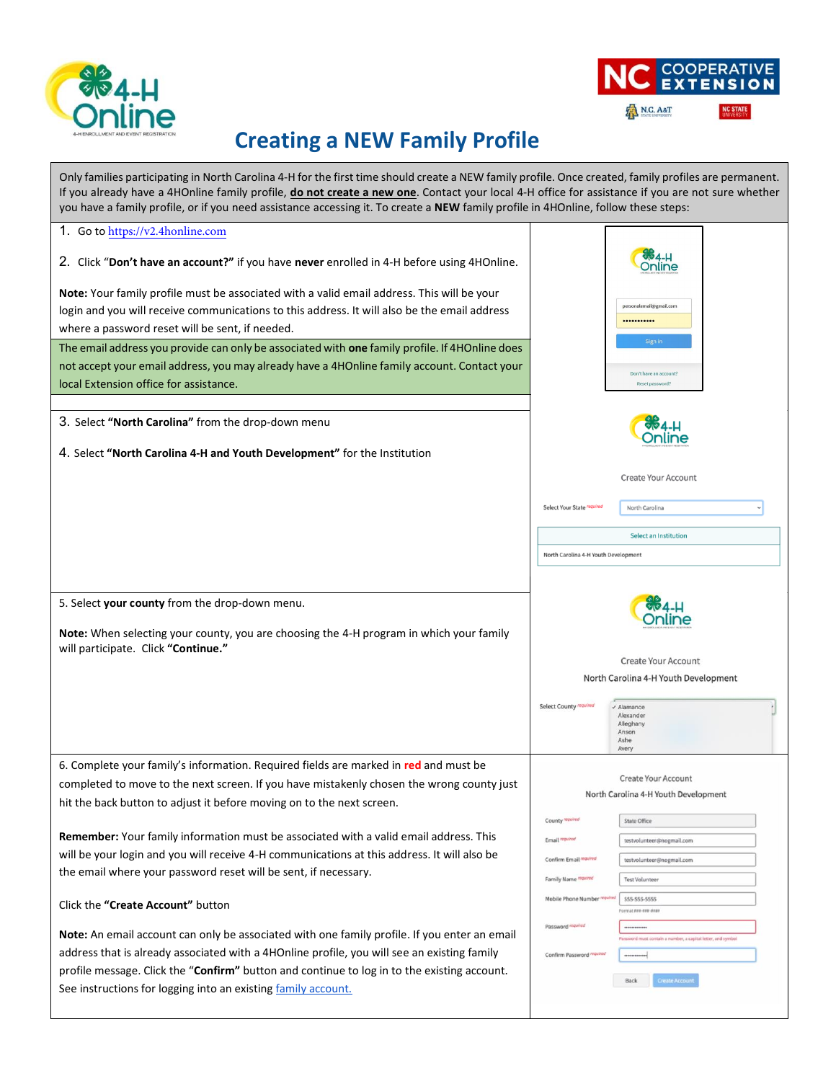



## <span id="page-2-0"></span>**Creating a NEW Family Profile**

| Only families participating in North Carolina 4-H for the first time should create a NEW family profile. Once created, family profiles are permanent.<br>If you already have a 4HOnline family profile, do not create a new one. Contact your local 4-H office for assistance if you are not sure whether<br>you have a family profile, or if you need assistance accessing it. To create a NEW family profile in 4HOnline, follow these steps: |                                                                                       |  |  |  |  |  |
|-------------------------------------------------------------------------------------------------------------------------------------------------------------------------------------------------------------------------------------------------------------------------------------------------------------------------------------------------------------------------------------------------------------------------------------------------|---------------------------------------------------------------------------------------|--|--|--|--|--|
| 1. Go to https://v2.4honline.com                                                                                                                                                                                                                                                                                                                                                                                                                |                                                                                       |  |  |  |  |  |
| 2. Click "Don't have an account?" if you have never enrolled in 4-H before using 4HOnline.                                                                                                                                                                                                                                                                                                                                                      | <b>ବାଡ 4-</b> H<br><b>Inline</b>                                                      |  |  |  |  |  |
| Note: Your family profile must be associated with a valid email address. This will be your                                                                                                                                                                                                                                                                                                                                                      |                                                                                       |  |  |  |  |  |
| login and you will receive communications to this address. It will also be the email address                                                                                                                                                                                                                                                                                                                                                    | personalemail@gmail.com                                                               |  |  |  |  |  |
| where a password reset will be sent, if needed.                                                                                                                                                                                                                                                                                                                                                                                                 |                                                                                       |  |  |  |  |  |
| The email address you provide can only be associated with one family profile. If 4HOnline does                                                                                                                                                                                                                                                                                                                                                  | Sign in                                                                               |  |  |  |  |  |
| not accept your email address, you may already have a 4HOnline family account. Contact your                                                                                                                                                                                                                                                                                                                                                     |                                                                                       |  |  |  |  |  |
| local Extension office for assistance.                                                                                                                                                                                                                                                                                                                                                                                                          | Don't have an account?<br>Reset password?                                             |  |  |  |  |  |
|                                                                                                                                                                                                                                                                                                                                                                                                                                                 |                                                                                       |  |  |  |  |  |
|                                                                                                                                                                                                                                                                                                                                                                                                                                                 |                                                                                       |  |  |  |  |  |
| 3. Select "North Carolina" from the drop-down menu                                                                                                                                                                                                                                                                                                                                                                                              | <b>904.H</b><br>Online                                                                |  |  |  |  |  |
| 4. Select "North Carolina 4-H and Youth Development" for the Institution                                                                                                                                                                                                                                                                                                                                                                        |                                                                                       |  |  |  |  |  |
|                                                                                                                                                                                                                                                                                                                                                                                                                                                 | <b>Create Your Account</b>                                                            |  |  |  |  |  |
|                                                                                                                                                                                                                                                                                                                                                                                                                                                 | Select Your State required<br>North Carolina                                          |  |  |  |  |  |
|                                                                                                                                                                                                                                                                                                                                                                                                                                                 | <b>Select an Institution</b>                                                          |  |  |  |  |  |
|                                                                                                                                                                                                                                                                                                                                                                                                                                                 | North Carolina 4-H Youth Development                                                  |  |  |  |  |  |
|                                                                                                                                                                                                                                                                                                                                                                                                                                                 |                                                                                       |  |  |  |  |  |
|                                                                                                                                                                                                                                                                                                                                                                                                                                                 |                                                                                       |  |  |  |  |  |
| 5. Select your county from the drop-down menu.<br>Note: When selecting your county, you are choosing the 4-H program in which your family                                                                                                                                                                                                                                                                                                       |                                                                                       |  |  |  |  |  |
| will participate. Click "Continue."                                                                                                                                                                                                                                                                                                                                                                                                             |                                                                                       |  |  |  |  |  |
|                                                                                                                                                                                                                                                                                                                                                                                                                                                 | Create Your Account                                                                   |  |  |  |  |  |
|                                                                                                                                                                                                                                                                                                                                                                                                                                                 | North Carolina 4-H Youth Development                                                  |  |  |  |  |  |
|                                                                                                                                                                                                                                                                                                                                                                                                                                                 | <b>Select County required</b><br>$\checkmark$ Alamance                                |  |  |  |  |  |
|                                                                                                                                                                                                                                                                                                                                                                                                                                                 | Alexander<br>Alleghany                                                                |  |  |  |  |  |
|                                                                                                                                                                                                                                                                                                                                                                                                                                                 | Anson<br>Ashe                                                                         |  |  |  |  |  |
|                                                                                                                                                                                                                                                                                                                                                                                                                                                 | Avery                                                                                 |  |  |  |  |  |
| 6. Complete your family's information. Required fields are marked in red and must be                                                                                                                                                                                                                                                                                                                                                            |                                                                                       |  |  |  |  |  |
| completed to move to the next screen. If you have mistakenly chosen the wrong county just                                                                                                                                                                                                                                                                                                                                                       | <b>Create Your Account</b><br>North Carolina 4-H Youth Development                    |  |  |  |  |  |
| hit the back button to adjust it before moving on to the next screen.                                                                                                                                                                                                                                                                                                                                                                           |                                                                                       |  |  |  |  |  |
|                                                                                                                                                                                                                                                                                                                                                                                                                                                 | County required<br><b>State Office</b>                                                |  |  |  |  |  |
| Remember: Your family information must be associated with a valid email address. This                                                                                                                                                                                                                                                                                                                                                           | Email required<br>testvolunteer@nogmail.com                                           |  |  |  |  |  |
| will be your login and you will receive 4-H communications at this address. It will also be                                                                                                                                                                                                                                                                                                                                                     | Confirm Email mpa<br>testvolunteer@nogmail.com                                        |  |  |  |  |  |
| the email where your password reset will be sent, if necessary.                                                                                                                                                                                                                                                                                                                                                                                 | Family Name required<br><b>Test Volunteer</b>                                         |  |  |  |  |  |
|                                                                                                                                                                                                                                                                                                                                                                                                                                                 | 555-555-5555<br>Mobile Phone Number                                                   |  |  |  |  |  |
| Click the "Create Account" button                                                                                                                                                                                                                                                                                                                                                                                                               | Format ###-### ####                                                                   |  |  |  |  |  |
| Note: An email account can only be associated with one family profile. If you enter an email                                                                                                                                                                                                                                                                                                                                                    | Password required<br><br>Password must contain a number, a capital letter, and symbol |  |  |  |  |  |
| address that is already associated with a 4HOnline profile, you will see an existing family                                                                                                                                                                                                                                                                                                                                                     | Confirm Password require<br>                                                          |  |  |  |  |  |
| profile message. Click the "Confirm" button and continue to log in to the existing account.                                                                                                                                                                                                                                                                                                                                                     |                                                                                       |  |  |  |  |  |
| See instructions for logging into an existing family account.                                                                                                                                                                                                                                                                                                                                                                                   | <b>Create Account</b><br>Back                                                         |  |  |  |  |  |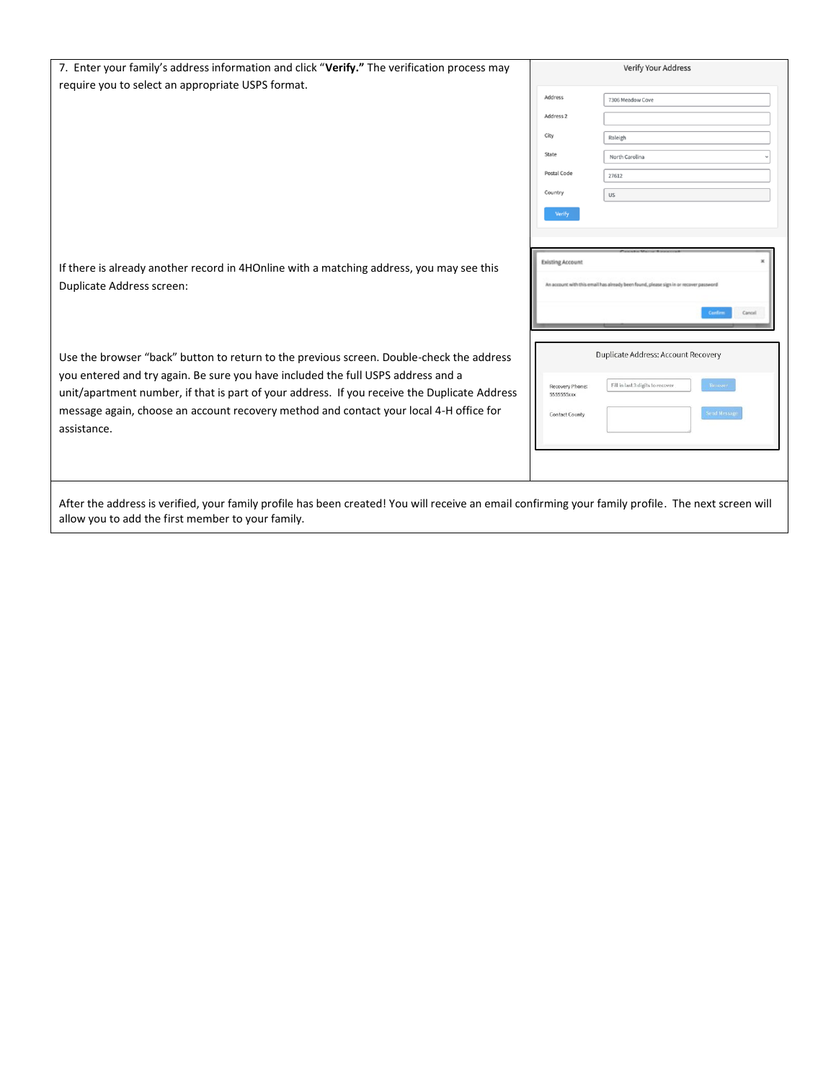| 7. Enter your family's address information and click "Verify." The verification process may                                                                                                                                                                                               |                         | <b>Verify Your Address</b>                                                            |  |  |
|-------------------------------------------------------------------------------------------------------------------------------------------------------------------------------------------------------------------------------------------------------------------------------------------|-------------------------|---------------------------------------------------------------------------------------|--|--|
| require you to select an appropriate USPS format.                                                                                                                                                                                                                                         | Address                 | 7306 Meadow Cove                                                                      |  |  |
|                                                                                                                                                                                                                                                                                           | Address <sub>2</sub>    |                                                                                       |  |  |
|                                                                                                                                                                                                                                                                                           | City                    | Raleigh                                                                               |  |  |
|                                                                                                                                                                                                                                                                                           | State                   | North Carolina                                                                        |  |  |
|                                                                                                                                                                                                                                                                                           | Postal Code             | 27612                                                                                 |  |  |
|                                                                                                                                                                                                                                                                                           | Country                 | US                                                                                    |  |  |
|                                                                                                                                                                                                                                                                                           | Verify                  |                                                                                       |  |  |
|                                                                                                                                                                                                                                                                                           |                         |                                                                                       |  |  |
|                                                                                                                                                                                                                                                                                           | <b>Existing Account</b> |                                                                                       |  |  |
| If there is already another record in 4HOnline with a matching address, you may see this<br>Duplicate Address screen:                                                                                                                                                                     |                         | An account with this email has already been found, please sign in or recover password |  |  |
|                                                                                                                                                                                                                                                                                           |                         | Centro<br>Cancel                                                                      |  |  |
| Use the browser "back" button to return to the previous screen. Double-check the address                                                                                                                                                                                                  |                         | <b>Duplicate Address: Account Recovery</b>                                            |  |  |
| you entered and try again. Be sure you have included the full USPS address and a<br>unit/apartment number, if that is part of your address. If you receive the Duplicate Address<br>message again, choose an account recovery method and contact your local 4-H office for<br>assistance. |                         | Fill in last 3 digits to recover<br>Recover<br><b>Send Messag</b>                     |  |  |
| After the eddential confirmation and the head experience of Verrall section on excellenging incomposition and the Theorem                                                                                                                                                                 |                         |                                                                                       |  |  |

After the address is verified, your family profile has been created! You will receive an email confirming your family profile. The next screen will allow you to add the first member to your family.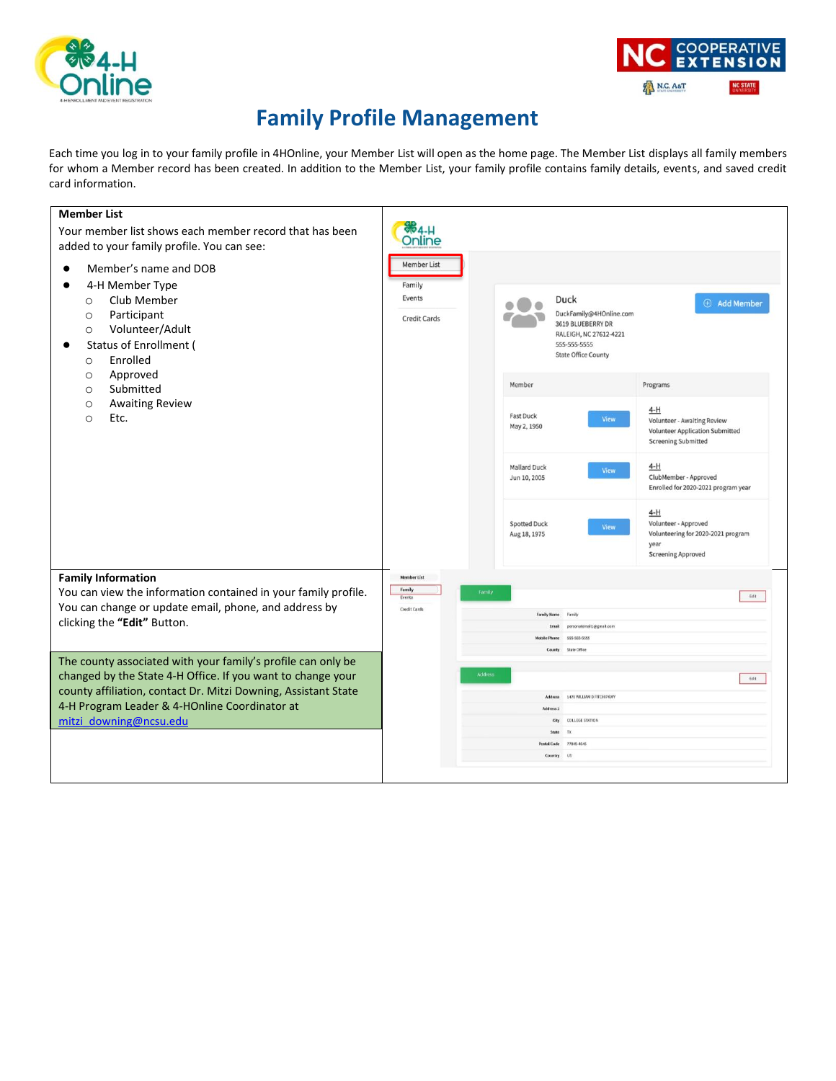



### **Family Profile Management**

Each time you log in to your family profile in 4HOnline, your Member List will open as the home page. The Member List displays all family members for whom a Member record has been created. In addition to the Member List, your family profile contains family details, events, and saved credit card information.